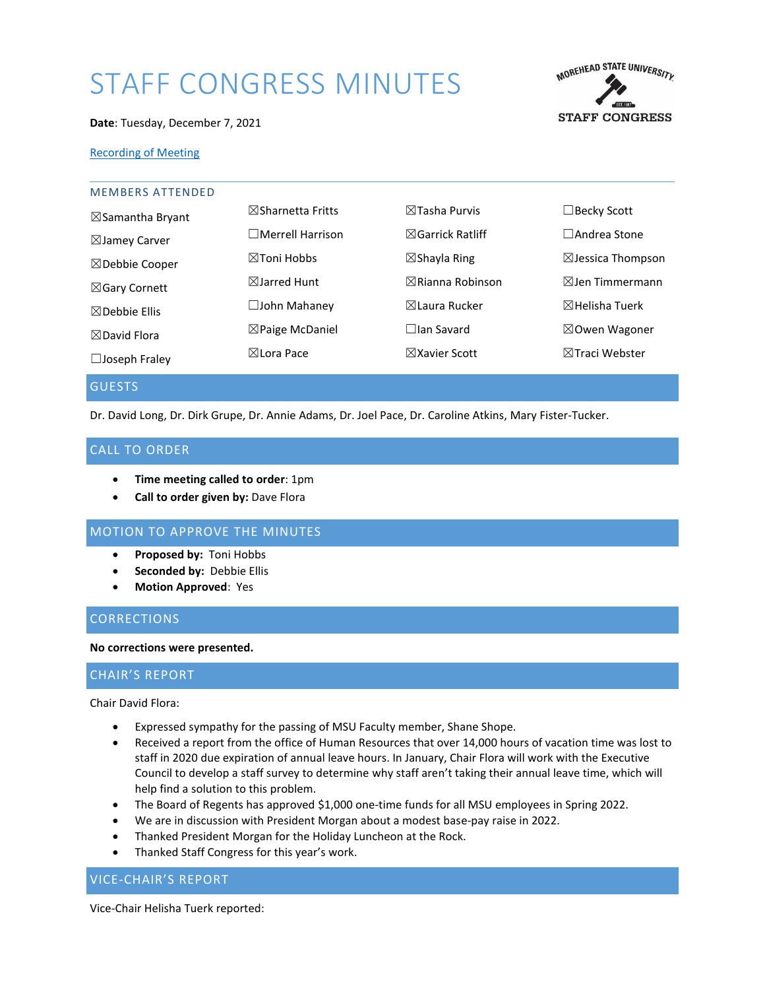# STAFF CONGRESS MINUTES



#### **Date**: Tuesday, December 7, 2021

#### [Recording of Meeting](https://moreheadstate.webex.com/webappng/sites/moreheadstate/recording/848ad1fb39b5103ab90d0050568ca460/)

| $\boxtimes$ Sharnetta Fritts | $\boxtimes$ Tasha Purvis    | $\Box$ Becky Scott           |
|------------------------------|-----------------------------|------------------------------|
| $\Box$ Merrell Harrison      | $\boxtimes$ Garrick Ratliff | $\Box$ Andrea Stone          |
| $\boxtimes$ Toni Hobbs       | $\boxtimes$ Shayla Ring     | $\boxtimes$ Jessica Thompson |
| $\boxtimes$ Jarred Hunt      | $\boxtimes$ Rianna Robinson | $\boxtimes$ Jen Timmermann   |
| $\Box$ John Mahanev          | ⊠Laura Rucker               | $\boxtimes$ Helisha Tuerk    |
| $\boxtimes$ Paige McDaniel   | $\Box$ lan Savard           | $\boxtimes$ Owen Wagoner     |
| ⊠Lora Pace                   | $\boxtimes$ Xavier Scott    | $\boxtimes$ Traci Webster    |
|                              |                             |                              |

GUESTS

Dr. David Long, Dr. Dirk Grupe, Dr. Annie Adams, Dr. Joel Pace, Dr. Caroline Atkins, Mary Fister-Tucker.

# CALL TO ORDER

- **Time meeting called to order**: 1pm
- **Call to order given by:** Dave Flora

# MOTION TO APPROVE THE MINUTES

- **Proposed by:** Toni Hobbs
- **Seconded by:** Debbie Ellis
- **Motion Approved**: Yes

# **CORRECTIONS**

#### **No corrections were presented.**

# CHAIR'S REPORT

Chair David Flora:

- Expressed sympathy for the passing of MSU Faculty member, Shane Shope.
- Received a report from the office of Human Resources that over 14,000 hours of vacation time was lost to staff in 2020 due expiration of annual leave hours. In January, Chair Flora will work with the Executive Council to develop a staff survey to determine why staff aren't taking their annual leave time, which will help find a solution to this problem.
- The Board of Regents has approved \$1,000 one-time funds for all MSU employees in Spring 2022.
- We are in discussion with President Morgan about a modest base-pay raise in 2022.
- Thanked President Morgan for the Holiday Luncheon at the Rock.
- Thanked Staff Congress for this year's work.

## VICE-CHAIR'S REPORT

Vice-Chair Helisha Tuerk reported: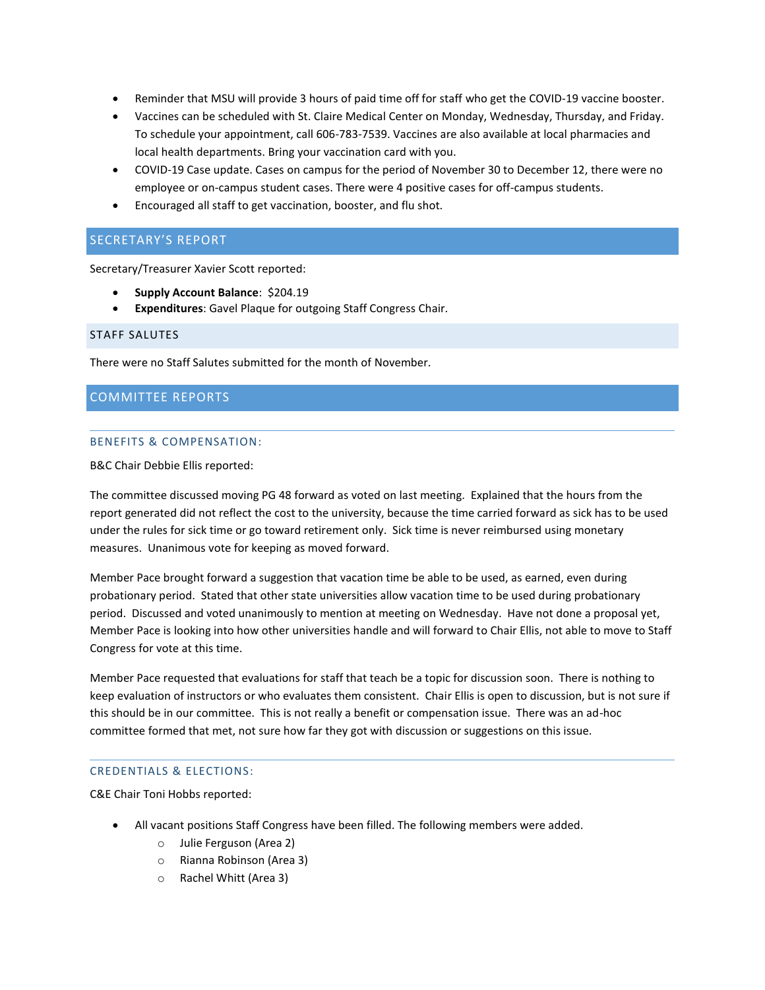- Reminder that MSU will provide 3 hours of paid time off for staff who get the COVID-19 vaccine booster.
- Vaccines can be scheduled with St. Claire Medical Center on Monday, Wednesday, Thursday, and Friday. To schedule your appointment, call 606-783-7539. Vaccines are also available at local pharmacies and local health departments. Bring your vaccination card with you.
- COVID-19 Case update. Cases on campus for the period of November 30 to December 12, there were no employee or on-campus student cases. There were 4 positive cases for off-campus students.
- Encouraged all staff to get vaccination, booster, and flu shot.

# SECRETARY'S REPORT

Secretary/Treasurer Xavier Scott reported:

- **Supply Account Balance**: \$204.19
- **Expenditures**: Gavel Plaque for outgoing Staff Congress Chair.

#### STAFF SALUTES

There were no Staff Salutes submitted for the month of November.

## COMMITTEE REPORTS

#### BENEFITS & COMPENSATION:

B&C Chair Debbie Ellis reported:

The committee discussed moving PG 48 forward as voted on last meeting. Explained that the hours from the report generated did not reflect the cost to the university, because the time carried forward as sick has to be used under the rules for sick time or go toward retirement only. Sick time is never reimbursed using monetary measures. Unanimous vote for keeping as moved forward.

Member Pace brought forward a suggestion that vacation time be able to be used, as earned, even during probationary period. Stated that other state universities allow vacation time to be used during probationary period. Discussed and voted unanimously to mention at meeting on Wednesday. Have not done a proposal yet, Member Pace is looking into how other universities handle and will forward to Chair Ellis, not able to move to Staff Congress for vote at this time.

Member Pace requested that evaluations for staff that teach be a topic for discussion soon. There is nothing to keep evaluation of instructors or who evaluates them consistent. Chair Ellis is open to discussion, but is not sure if this should be in our committee. This is not really a benefit or compensation issue. There was an ad-hoc committee formed that met, not sure how far they got with discussion or suggestions on this issue.

#### CREDENTIALS & ELECTIONS:

C&E Chair Toni Hobbs reported:

- All vacant positions Staff Congress have been filled. The following members were added.
	- o Julie Ferguson (Area 2)
	- o Rianna Robinson (Area 3)
	- o Rachel Whitt (Area 3)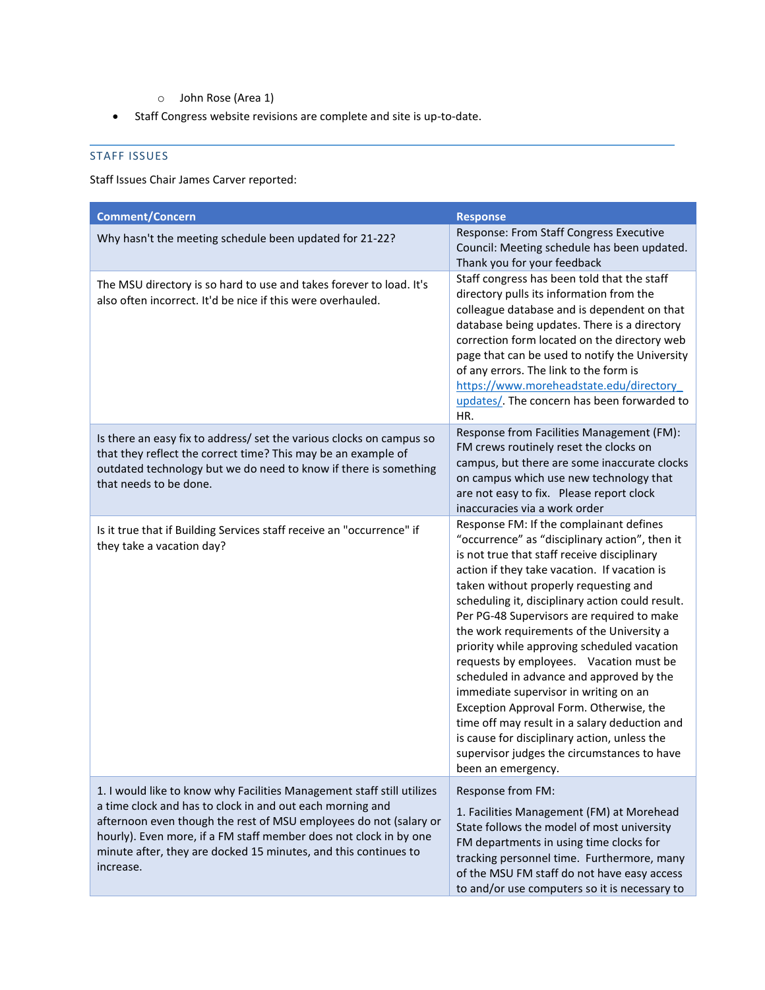- o John Rose (Area 1)
- Staff Congress website revisions are complete and site is up-to-date.

# STAFF ISSUES

Staff Issues Chair James Carver reported:

| <b>Comment/Concern</b>                                                                                                                                                                                                                                                                                                                                        | <b>Response</b>                                                                                                                                                                                                                                                                                                                                                                                                                                                                                                                                                                                                                                                                                                                                                                  |
|---------------------------------------------------------------------------------------------------------------------------------------------------------------------------------------------------------------------------------------------------------------------------------------------------------------------------------------------------------------|----------------------------------------------------------------------------------------------------------------------------------------------------------------------------------------------------------------------------------------------------------------------------------------------------------------------------------------------------------------------------------------------------------------------------------------------------------------------------------------------------------------------------------------------------------------------------------------------------------------------------------------------------------------------------------------------------------------------------------------------------------------------------------|
| Why hasn't the meeting schedule been updated for 21-22?                                                                                                                                                                                                                                                                                                       | Response: From Staff Congress Executive<br>Council: Meeting schedule has been updated.<br>Thank you for your feedback                                                                                                                                                                                                                                                                                                                                                                                                                                                                                                                                                                                                                                                            |
| The MSU directory is so hard to use and takes forever to load. It's<br>also often incorrect. It'd be nice if this were overhauled.                                                                                                                                                                                                                            | Staff congress has been told that the staff<br>directory pulls its information from the<br>colleague database and is dependent on that<br>database being updates. There is a directory<br>correction form located on the directory web<br>page that can be used to notify the University<br>of any errors. The link to the form is<br>https://www.moreheadstate.edu/directory<br>updates/. The concern has been forwarded to<br>HR.                                                                                                                                                                                                                                                                                                                                              |
| Is there an easy fix to address/ set the various clocks on campus so<br>that they reflect the correct time? This may be an example of<br>outdated technology but we do need to know if there is something<br>that needs to be done.                                                                                                                           | Response from Facilities Management (FM):<br>FM crews routinely reset the clocks on<br>campus, but there are some inaccurate clocks<br>on campus which use new technology that<br>are not easy to fix. Please report clock<br>inaccuracies via a work order                                                                                                                                                                                                                                                                                                                                                                                                                                                                                                                      |
| Is it true that if Building Services staff receive an "occurrence" if<br>they take a vacation day?                                                                                                                                                                                                                                                            | Response FM: If the complainant defines<br>"occurrence" as "disciplinary action", then it<br>is not true that staff receive disciplinary<br>action if they take vacation. If vacation is<br>taken without properly requesting and<br>scheduling it, disciplinary action could result.<br>Per PG-48 Supervisors are required to make<br>the work requirements of the University a<br>priority while approving scheduled vacation<br>requests by employees. Vacation must be<br>scheduled in advance and approved by the<br>immediate supervisor in writing on an<br>Exception Approval Form. Otherwise, the<br>time off may result in a salary deduction and<br>is cause for disciplinary action, unless the<br>supervisor judges the circumstances to have<br>been an emergency. |
| 1. I would like to know why Facilities Management staff still utilizes<br>a time clock and has to clock in and out each morning and<br>afternoon even though the rest of MSU employees do not (salary or<br>hourly). Even more, if a FM staff member does not clock in by one<br>minute after, they are docked 15 minutes, and this continues to<br>increase. | Response from FM:<br>1. Facilities Management (FM) at Morehead<br>State follows the model of most university<br>FM departments in using time clocks for<br>tracking personnel time. Furthermore, many<br>of the MSU FM staff do not have easy access<br>to and/or use computers so it is necessary to                                                                                                                                                                                                                                                                                                                                                                                                                                                                            |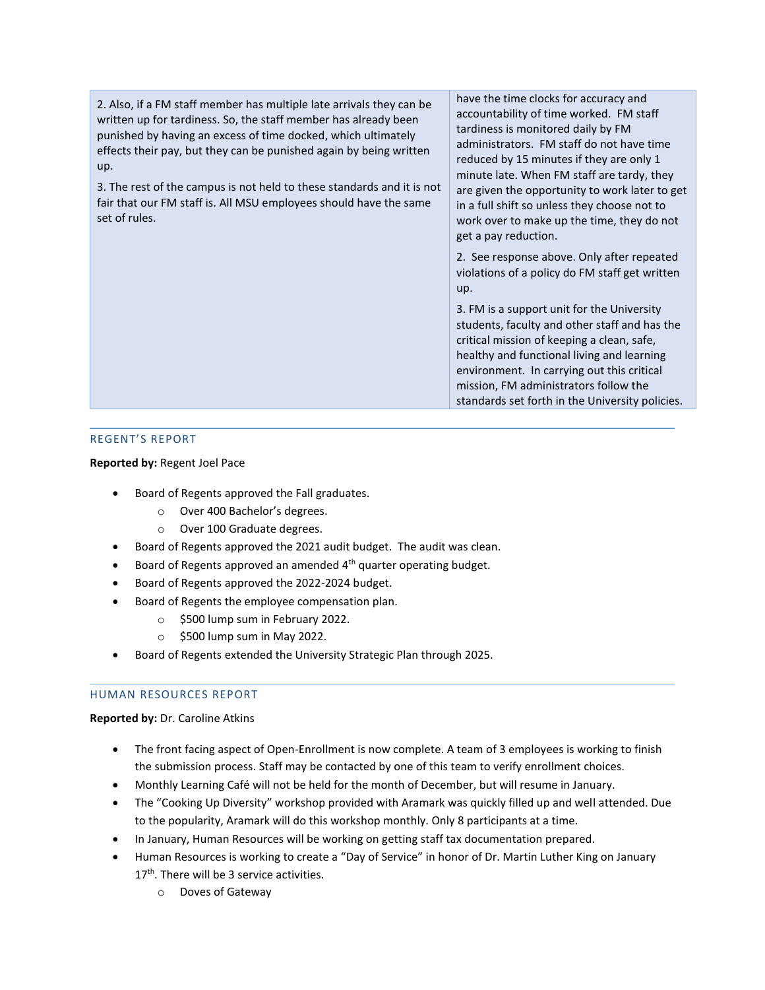2. Also, if a FM staff member has multiple late arrivals they can be written up for tardiness. So, the staff member has already been punished by having an excess of time docked, which ultimately effects their pay, but they can be punished again by being written up.

3. The rest of the campus is not held to these standards and it is not fair that our FM staff is. All MSU employees should have the same set of rules.

have the time clocks for accuracy and accountability of time worked. FM staff tardiness is monitored daily by FM administrators. FM staff do not have time reduced by 15 minutes if they are only 1 minute late. When FM staff are tardy, they are given the opportunity to work later to get in a full shift so unless they choose not to work over to make up the time, they do not get a pay reduction.

2. See response above. Only after repeated violations of a policy do FM staff get written up.

3. FM is a support unit for the University students, faculty and other staff and has the critical mission of keeping a clean, safe, healthy and functional living and learning environment. In carrying out this critical mission, FM administrators follow the standards set forth in the University policies.

## REGENT'S REPORT

## **Reported by:** Regent Joel Pace

- Board of Regents approved the Fall graduates.
	- o Over 400 Bachelor's degrees.
	- o Over 100 Graduate degrees.
- Board of Regents approved the 2021 audit budget. The audit was clean.
- Board of Regents approved an amended  $4<sup>th</sup>$  quarter operating budget.
- Board of Regents approved the 2022-2024 budget.
- Board of Regents the employee compensation plan.
	- o \$500 lump sum in February 2022.
	- $\circ$  \$500 lump sum in May 2022.
- Board of Regents extended the University Strategic Plan through 2025.

## HUMAN RESOURCES REPORT

## **Reported by:** Dr. Caroline Atkins

- The front facing aspect of Open-Enrollment is now complete. A team of 3 employees is working to finish the submission process. Staff may be contacted by one of this team to verify enrollment choices.
- Monthly Learning Café will not be held for the month of December, but will resume in January.
- The "Cooking Up Diversity" workshop provided with Aramark was quickly filled up and well attended. Due to the popularity, Aramark will do this workshop monthly. Only 8 participants at a time.
- In January, Human Resources will be working on getting staff tax documentation prepared.
- Human Resources is working to create a "Day of Service" in honor of Dr. Martin Luther King on January 17<sup>th</sup>. There will be 3 service activities.
	- o Doves of Gateway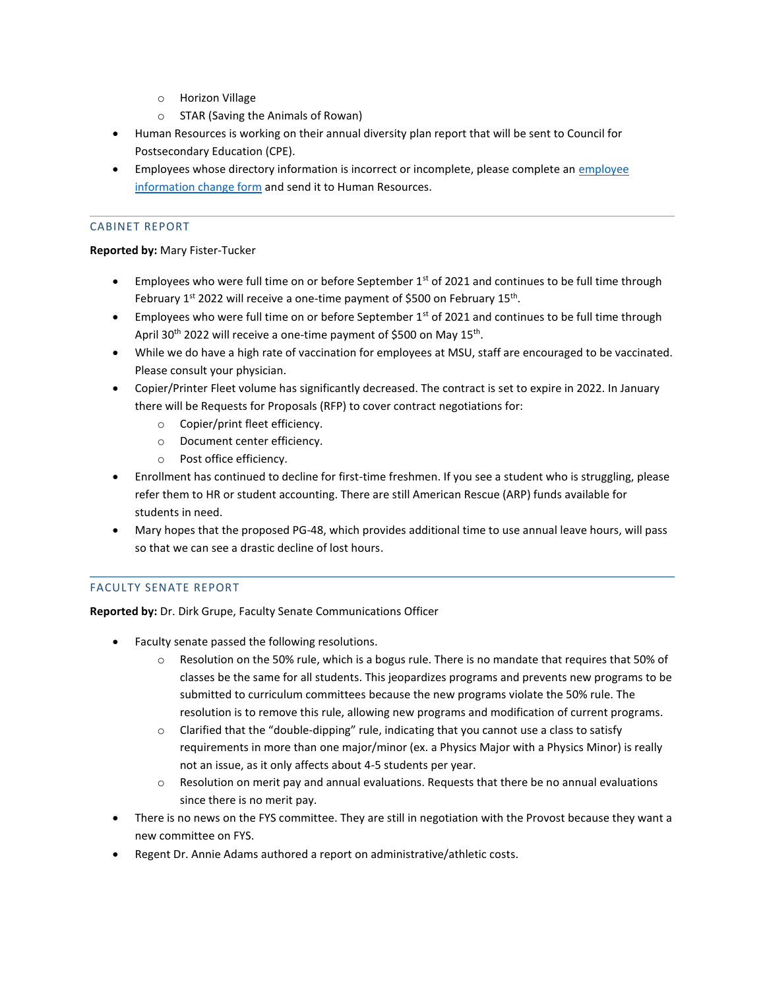- o Horizon Village
- o STAR (Saving the Animals of Rowan)
- Human Resources is working on their annual diversity plan report that will be sent to Council for Postsecondary Education (CPE).
- Employees whose directory information is incorrect or incomplete, please complete an employee [information change form](https://www.moreheadstate.edu/MSU/media/Human-Resources/Employee-Information-Change-Form.pdf) and send it to Human Resources.

# CABINET REPORT

#### **Reported by:** Mary Fister-Tucker

- Employees who were full time on or before September  $1<sup>st</sup>$  of 2021 and continues to be full time through February 1<sup>st</sup> 2022 will receive a one-time payment of \$500 on February 15<sup>th</sup>.
- Employees who were full time on or before September  $1<sup>st</sup>$  of 2021 and continues to be full time through April 30<sup>th</sup> 2022 will receive a one-time payment of \$500 on May 15<sup>th</sup>.
- While we do have a high rate of vaccination for employees at MSU, staff are encouraged to be vaccinated. Please consult your physician.
- Copier/Printer Fleet volume has significantly decreased. The contract is set to expire in 2022. In January there will be Requests for Proposals (RFP) to cover contract negotiations for:
	- o Copier/print fleet efficiency.
	- o Document center efficiency.
	- o Post office efficiency.
- Enrollment has continued to decline for first-time freshmen. If you see a student who is struggling, please refer them to HR or student accounting. There are still American Rescue (ARP) funds available for students in need.
- Mary hopes that the proposed PG-48, which provides additional time to use annual leave hours, will pass so that we can see a drastic decline of lost hours.

## FACULTY SENATE REPORT

**Reported by:** Dr. Dirk Grupe, Faculty Senate Communications Officer

- Faculty senate passed the following resolutions.
	- o Resolution on the 50% rule, which is a bogus rule. There is no mandate that requires that 50% of classes be the same for all students. This jeopardizes programs and prevents new programs to be submitted to curriculum committees because the new programs violate the 50% rule. The resolution is to remove this rule, allowing new programs and modification of current programs.
	- $\circ$  Clarified that the "double-dipping" rule, indicating that you cannot use a class to satisfy requirements in more than one major/minor (ex. a Physics Major with a Physics Minor) is really not an issue, as it only affects about 4-5 students per year.
	- $\circ$  Resolution on merit pay and annual evaluations. Requests that there be no annual evaluations since there is no merit pay.
- There is no news on the FYS committee. They are still in negotiation with the Provost because they want a new committee on FYS.
- Regent Dr. Annie Adams authored a report on administrative/athletic costs.